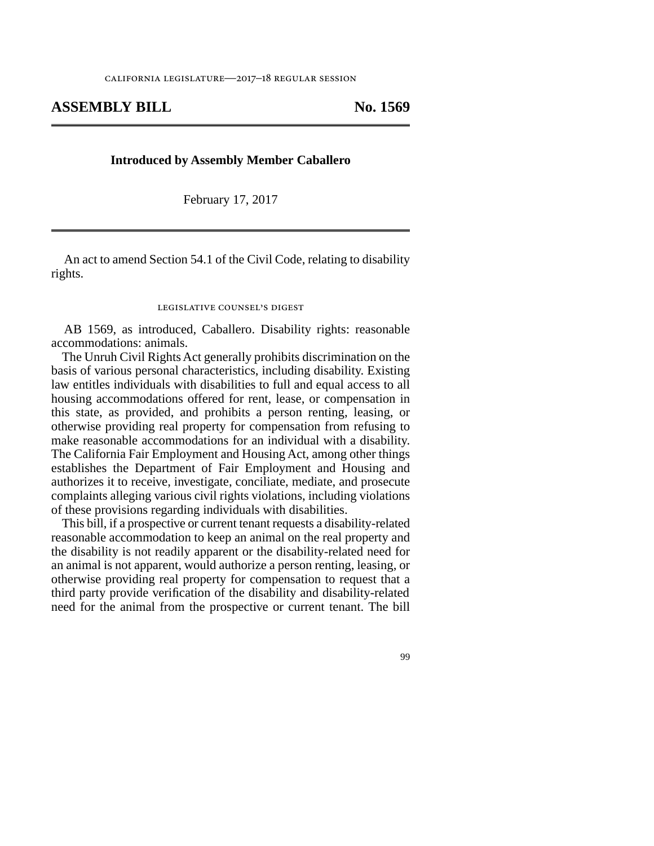## ASSEMBLY BILL No. 1569

## **Introduced by Assembly Member Caballero**

February 17, 2017

An act to amend Section 54.1 of the Civil Code, relating to disability rights.

## legislative counsel's digest

AB 1569, as introduced, Caballero. Disability rights: reasonable accommodations: animals.

The Unruh Civil Rights Act generally prohibits discrimination on the basis of various personal characteristics, including disability. Existing law entitles individuals with disabilities to full and equal access to all housing accommodations offered for rent, lease, or compensation in this state, as provided, and prohibits a person renting, leasing, or otherwise providing real property for compensation from refusing to make reasonable accommodations for an individual with a disability. The California Fair Employment and Housing Act, among other things establishes the Department of Fair Employment and Housing and authorizes it to receive, investigate, conciliate, mediate, and prosecute complaints alleging various civil rights violations, including violations of these provisions regarding individuals with disabilities.

This bill, if a prospective or current tenant requests a disability-related reasonable accommodation to keep an animal on the real property and the disability is not readily apparent or the disability-related need for an animal is not apparent, would authorize a person renting, leasing, or otherwise providing real property for compensation to request that a third party provide verification of the disability and disability-related need for the animal from the prospective or current tenant. The bill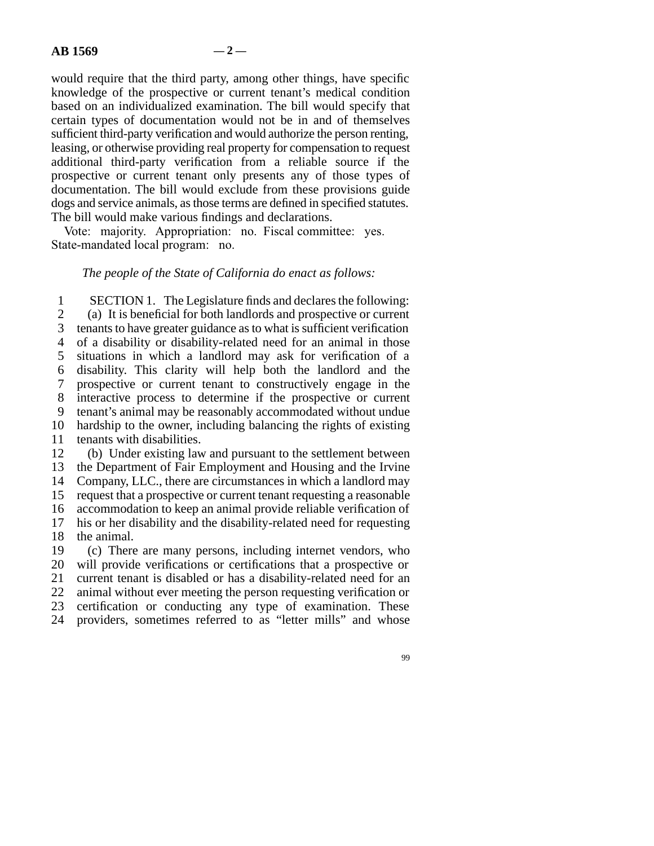would require that the third party, among other things, have specific knowledge of the prospective or current tenant's medical condition based on an individualized examination. The bill would specify that certain types of documentation would not be in and of themselves sufficient third-party verification and would authorize the person renting, leasing, or otherwise providing real property for compensation to request additional third-party verification from a reliable source if the prospective or current tenant only presents any of those types of documentation. The bill would exclude from these provisions guide dogs and service animals, as those terms are defined in specified statutes. The bill would make various findings and declarations.

Vote: majority. Appropriation: no. Fiscal committee: yes. State-mandated local program: no.

## *The people of the State of California do enact as follows:*

 line 1 SECTION 1. The Legislature finds and declares the following: 2 (a) It is beneficial for both landlords and prospective or current 3 tenants to have greater guidance as to what is sufficient verification 4 of a disability or disability-related need for an animal in those 5 situations in which a landlord may ask for verification of a line 6 disability. This clarity will help both the landlord and the line 7 prospective or current tenant to constructively engage in the line 8 interactive process to determine if the prospective or current 9 tenant's animal may be reasonably accommodated without undue 10 hardship to the owner, including balancing the rights of existing 11 tenants with disabilities. 12 (b) Under existing law and pursuant to the settlement between

13 the Department of Fair Employment and Housing and the Irvine 14 Company, LLC., there are circumstances in which a landlord may 15 request that a prospective or current tenant requesting a reasonable 16 accommodation to keep an animal provide reliable verification of 17 his or her disability and the disability-related need for requesting 18 the animal. 19 (c) There are many persons, including internet vendors, who

20 will provide verifications or certifications that a prospective or 21 current tenant is disabled or has a disability-related need for an 22 animal without ever meeting the person requesting verification or 23 certification or conducting any type of examination. These 24 providers, sometimes referred to as "letter mills" and whose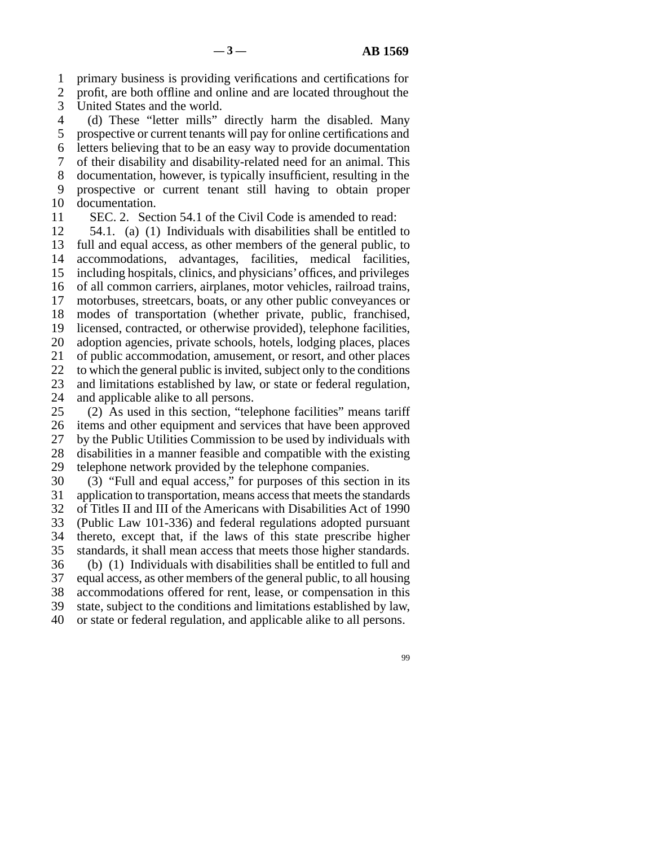line 1 primary business is providing verifications and certifications for

2 profit, are both offline and online and are located throughout the 3 United States and the world.

 line 4 (d) These "letter mills" directly harm the disabled. Many 5 prospective or current tenants will pay for online certifications and 6 letters believing that to be an easy way to provide documentation 7 of their disability and disability-related need for an animal. This 8 documentation, however, is typically insufficient, resulting in the line 9 prospective or current tenant still having to obtain proper 10 documentation.

11 SEC. 2. Section 54.1 of the Civil Code is amended to read:

 $12$  54.1. (a) (1) Individuals with disabilities shall be entitled to 13 full and equal access, as other members of the general public, to 14 accommodations, advantages, facilities, medical facilities, 15 including hospitals, clinics, and physicians' offices, and privileges 16 of all common carriers, airplanes, motor vehicles, railroad trains, 17 motorbuses, streetcars, boats, or any other public conveyances or 18 modes of transportation (whether private, public, franchised, 19 licensed, contracted, or otherwise provided), telephone facilities, 20 adoption agencies, private schools, hotels, lodging places, places 21 of public accommodation, amusement, or resort, and other places 22 to which the general public is invited, subject only to the conditions 23 and limitations established by law, or state or federal regulation,

24 and applicable alike to all persons.<br>25 (2) As used in this section, "tele (2) As used in this section, "telephone facilities" means tariff 26 items and other equipment and services that have been approved 27 by the Public Utilities Commission to be used by individuals with 28 disabilities in a manner feasible and compatible with the existing 29 telephone network provided by the telephone companies.

30 (3) "Full and equal access," for purposes of this section in its 31 application to transportation, means access that meets the standards 32 of Titles II and III of the Americans with Disabilities Act of 1990 33 (Public Law 101-336) and federal regulations adopted pursuant 34 thereto, except that, if the laws of this state prescribe higher 35 standards, it shall mean access that meets those higher standards. 36 (b) (1) Individuals with disabilities shall be entitled to full and 37 equal access, as other members of the general public, to all housing 38 accommodations offered for rent, lease, or compensation in this

39 state, subject to the conditions and limitations established by law, 40 or state or federal regulation, and applicable alike to all persons.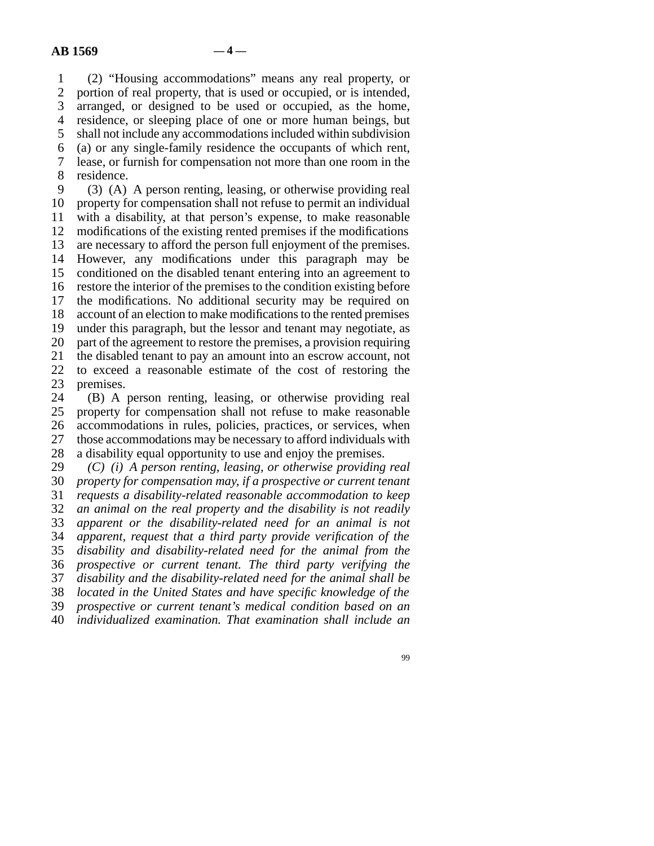line 1 (2) "Housing accommodations" means any real property, or 2 portion of real property, that is used or occupied, or is intended, 3 arranged, or designed to be used or occupied, as the home, arranged, or designed to be used or occupied, as the home, 4 residence, or sleeping place of one or more human beings, but 5 shall not include any accommodations included within subdivision line 6 (a) or any single-family residence the occupants of which rent, 7 lease, or furnish for compensation not more than one room in the 8 residence.

9 (3) (A) A person renting, leasing, or otherwise providing real 10 property for compensation shall not refuse to permit an individual line 11 with a disability, at that person's expense, to make reasonable 12 modifications of the existing rented premises if the modifications 13 are necessary to afford the person full enjoyment of the premises. 14 However, any modifications under this paragraph may be 15 conditioned on the disabled tenant entering into an agreement to 16 restore the interior of the premises to the condition existing before 17 the modifications. No additional security may be required on 18 account of an election to make modifications to the rented premises 19 under this paragraph, but the lessor and tenant may negotiate, as 20 part of the agreement to restore the premises, a provision requiring 21 the disabled tenant to pay an amount into an escrow account, not 22 to exceed a reasonable estimate of the cost of restoring the 23 premises.

24 (B) A person renting, leasing, or otherwise providing real 25 property for compensation shall not refuse to make reasonable property for compensation shall not refuse to make reasonable 26 accommodations in rules, policies, practices, or services, when 27 those accommodations may be necessary to afford individuals with 28 a disability equal opportunity to use and enjoy the premises.

 line 29 *(C) (i) A person renting, leasing, or otherwise providing real* 30 *property for compensation may, if a prospective or current tenant*  line 31 *requests a disability-related reasonable accommodation to keep* 32 *an animal on the real property and the disability is not readily* 33 *apparent or the disability-related need for an animal is not* 34 *apparent, request that a third party provide verification of the*  line 35 *disability and disability-related need for the animal from the* line 36 *prospective or current tenant. The third party verifying the* 37 *disability and the disability-related need for the animal shall be*  line 38 *located in the United States and have specific knowledge of the* line 39 *prospective or current tenant's medical condition based on an* line 40 *individualized examination. That examination shall include an*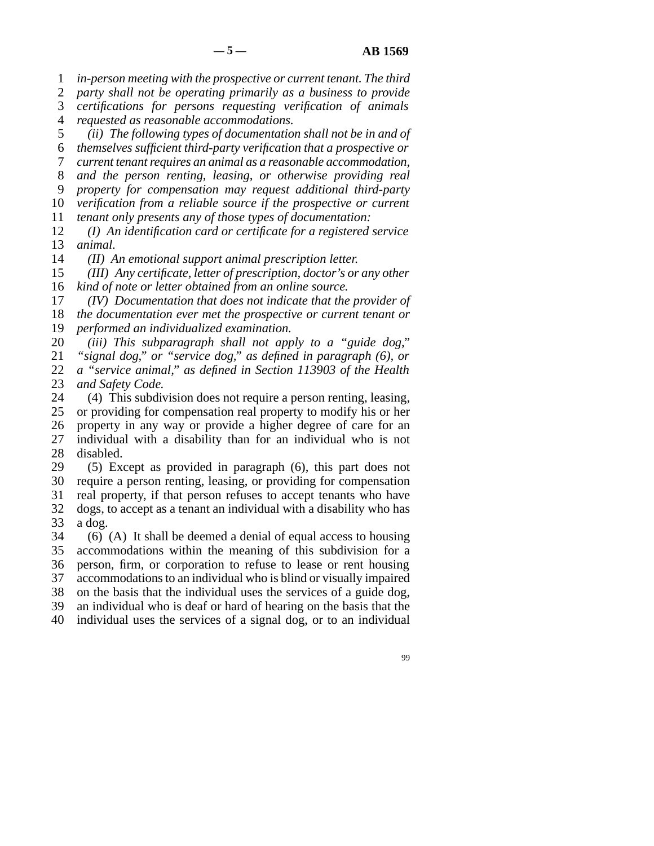1 *in-person meeting with the prospective or current tenant. The third* 

2 *party shall not be operating primarily as a business to provide* 

3 *certifications for persons requesting verification of animals* line 4 *requested as reasonable accommodations.*

line 5 *(ii) The following types of documentation shall not be in and of*

line 6 *themselves sufficient third-party verification that a prospective or*

line 7 *current tenant requires an animal as a reasonable accommodation,*

line 8 *and the person renting, leasing, or otherwise providing real*

line 9 *property for compensation may request additional third-party*

10 *verification from a reliable source if the prospective or current* 

11 *tenant only presents any of those types of documentation:* 

12 (I) An identification card or certificate for a registered service 13 *animal.* 

14 *(II)* An emotional support animal prescription letter.

15 *(III) Any certificate, letter of prescription, doctor's or any other* 16 *kind of note or letter obtained from an online source.* 

17 *(IV)* Documentation that does not indicate that the provider of 18 *the documentation ever met the prospective or current tenant or* 19 *performed an individualized examination.* 

line 20 *(iii) This subparagraph shall not apply to a "guide dog,"*

 line 21 *"signal dog," or "service dog," as defined in paragraph (6), or* 22 *a "service animal," as defined in Section 113903 of the Health* 23 *and Safety Code.* and Safety Code.

24 (4) This subdivision does not require a person renting, leasing, 25 or providing for compensation real property to modify his or her or providing for compensation real property to modify his or her 26 property in any way or provide a higher degree of care for an 27 individual with a disability than for an individual who is not 28 disabled.

29 (5) Except as provided in paragraph  $(6)$ , this part does not 30 require a person renting, leasing, or providing for compensation 31 real property, if that person refuses to accept tenants who have 32 dogs, to accept as a tenant an individual with a disability who has

 $33$  a dog.

 $\delta$  34 (6) (A) It shall be deemed a denial of equal access to housing 35 accommodations within the meaning of this subdivision for a 36 person, firm, or corporation to refuse to lease or rent housing 37 accommodations to an individual who is blind or visually impaired 38 on the basis that the individual uses the services of a guide dog, 39 an individual who is deaf or hard of hearing on the basis that the 40 individual uses the services of a signal dog, or to an individual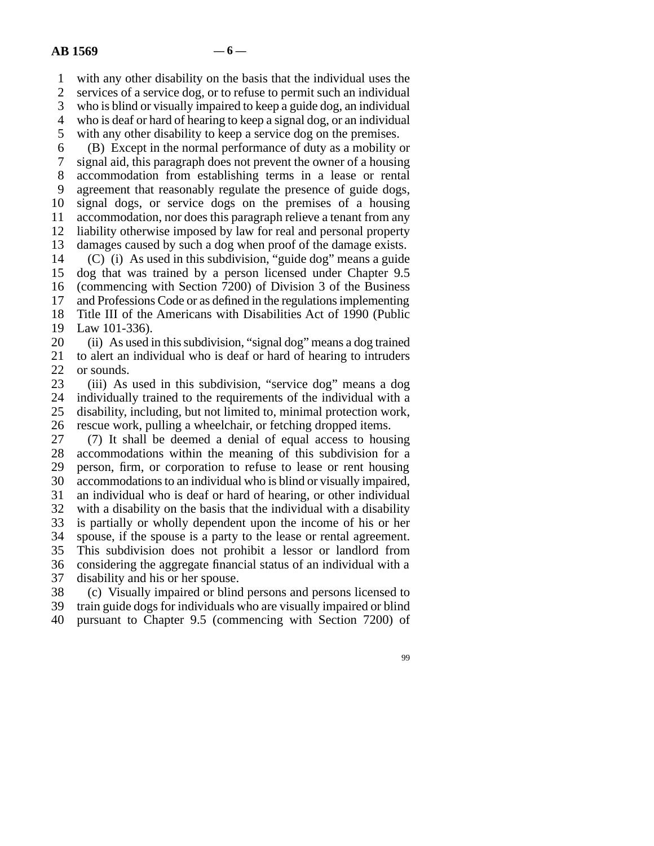line 1 with any other disability on the basis that the individual uses the

2 services of a service dog, or to refuse to permit such an individual<br>3 who is blind or visually impaired to keep a guide dog, an individual who is blind or visually impaired to keep a guide dog, an individual

4 who is deaf or hard of hearing to keep a signal dog, or an individual

5 with any other disability to keep a service dog on the premises.

 line 6 (B) Except in the normal performance of duty as a mobility or 7 signal aid, this paragraph does not prevent the owner of a housing 8 accommodation from establishing terms in a lease or rental 9 agreement that reasonably regulate the presence of guide dogs, 10 signal dogs, or service dogs on the premises of a housing 11 accommodation, nor does this paragraph relieve a tenant from any 12 liability otherwise imposed by law for real and personal property 13 damages caused by such a dog when proof of the damage exists. 14  $(C)$  (i) As used in this subdivision, "guide dog" means a guide

15 dog that was trained by a person licensed under Chapter 9.5 16 (commencing with Section 7200) of Division 3 of the Business 17 and Professions Code or as defined in the regulations implementing 18 Title III of the Americans with Disabilities Act of 1990 (Public 19 Law 101-336).

20 (ii) As used in this subdivision, "signal dog" means a dog trained 21 to alert an individual who is deaf or hard of hearing to intruders 22 or sounds.

23 (iii) As used in this subdivision, "service dog" means a dog 24 individually trained to the requirements of the individual with a<br>25 disability, including, but not limited to, minimal protection work, disability, including, but not limited to, minimal protection work, 26 rescue work, pulling a wheelchair, or fetching dropped items.

27 (7) It shall be deemed a denial of equal access to housing 28 accommodations within the meaning of this subdivision for a 29 person, firm, or corporation to refuse to lease or rent housing 30 accommodations to an individual who is blind or visually impaired, 31 an individual who is deaf or hard of hearing, or other individual 32 with a disability on the basis that the individual with a disability 33 is partially or wholly dependent upon the income of his or her 34 spouse, if the spouse is a party to the lease or rental agreement. 35 This subdivision does not prohibit a lessor or landlord from 36 considering the aggregate financial status of an individual with a 37 disability and his or her spouse.

38 (c) Visually impaired or blind persons and persons licensed to 39 train guide dogs for individuals who are visually impaired or blind 40 pursuant to Chapter 9.5 (commencing with Section 7200) of